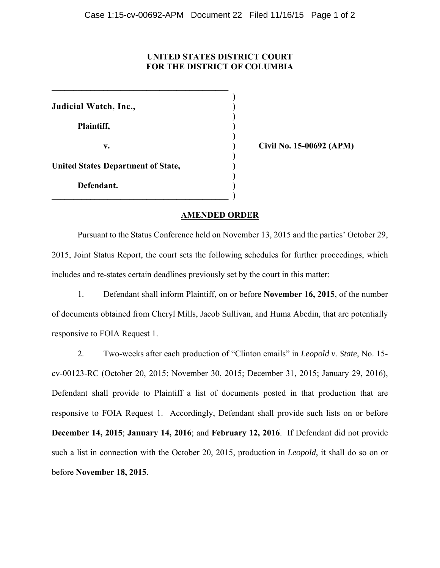## **UNITED STATES DISTRICT COURT FOR THE DISTRICT OF COLUMBIA**

 **) Judicial Watch, Inc., ) ) Plaintiff, ) ) v. ) Civil No. 15-00692 (APM) ) United States Department of State, ) ) Defendant. )**   $\overline{\phantom{a}}$  ,  $\overline{\phantom{a}}$  ,  $\overline{\phantom{a}}$  ,  $\overline{\phantom{a}}$  ,  $\overline{\phantom{a}}$  ,  $\overline{\phantom{a}}$  ,  $\overline{\phantom{a}}$  ,  $\overline{\phantom{a}}$  ,  $\overline{\phantom{a}}$  ,  $\overline{\phantom{a}}$  ,  $\overline{\phantom{a}}$  ,  $\overline{\phantom{a}}$  ,  $\overline{\phantom{a}}$  ,  $\overline{\phantom{a}}$  ,  $\overline{\phantom{a}}$  ,  $\overline{\phantom{a}}$ 

**\_\_\_\_\_\_\_\_\_\_\_\_\_\_\_\_\_\_\_\_\_\_\_\_\_\_\_\_\_\_\_\_\_\_\_\_\_\_\_\_\_** 

## **AMENDED ORDER**

Pursuant to the Status Conference held on November 13, 2015 and the parties' October 29, 2015, Joint Status Report, the court sets the following schedules for further proceedings, which includes and re-states certain deadlines previously set by the court in this matter:

1. Defendant shall inform Plaintiff, on or before **November 16, 2015**, of the number of documents obtained from Cheryl Mills, Jacob Sullivan, and Huma Abedin, that are potentially responsive to FOIA Request 1.

2. Two-weeks after each production of "Clinton emails" in *Leopold v. State*, No. 15 cv-00123-RC (October 20, 2015; November 30, 2015; December 31, 2015; January 29, 2016), Defendant shall provide to Plaintiff a list of documents posted in that production that are responsive to FOIA Request 1. Accordingly, Defendant shall provide such lists on or before **December 14, 2015**; **January 14, 2016**; and **February 12, 2016**. If Defendant did not provide such a list in connection with the October 20, 2015, production in *Leopold*, it shall do so on or before **November 18, 2015**.